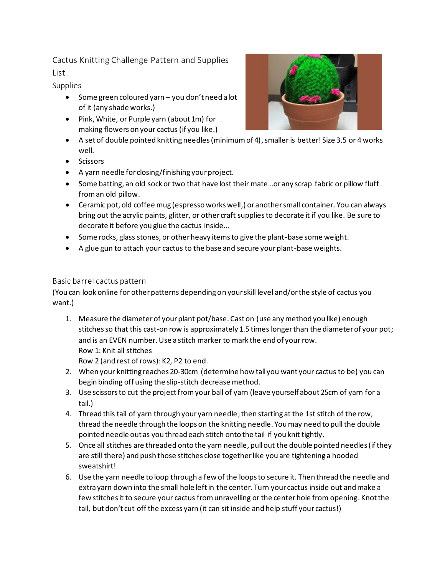Cactus Knitting Challenge Pattern and Supplies List

Supplies

- Some green coloured yarn you don't need a lot of it (any shade works.)
- Pink, White, or Purple yarn (about 1m) for making flowers on your cactus (if you like.)
- A set of double pointed knitting needles (minimum of 4), smaller is better! Size 3.5 or 4 works well.
- Scissors
- A yarn needle for closing/finishing your project.
- Some batting, an old sock or two that have lost their mate...or any scrap fabric or pillow fluff from an old pillow.
- Ceramic pot, old coffee mug (espresso works well,) or another small container. You can always bring out the acrylic paints, glitter, or other craft supplies to decorate it if you like. Be sure to decorate it before you glue the cactus inside…
- Some rocks, glass stones, or other heavy items to give the plant-base some weight.
- A glue gun to attach your cactus to the base and secure your plant-base weights.

## Basic barrel cactus pattern

(You can look online for other patterns depending on your skill level and/or the style of cactus you want.)

1. Measure the diameter of your plant pot/base. Cast on (use any method you like) enough stitches so that this cast-on row is approximately 1.5 times longer than the diameter of your pot; and is an EVEN number. Use a stitch marker to mark the end of your row. Row 1: Knit all stitches Row 2 (and rest of rows): K2, P2 to end.

2. When your knitting reaches 20-30cm (determine how tall you want your cactus to be) you can begin binding off using the slip-stitch decrease method.

- 3. Use scissors to cut the project from your ball of yarn (leave yourself about 25cm of yarn for a tail.)
- 4. Thread this tail of yarn through your yarn needle;then starting at the 1st stitch of the row, thread the needle through the loops on the knitting needle. You may need to pull the double pointed needle out as you thread each stitch onto the tail if you knit tightly.
- 5. Once all stitches are threaded onto the yarn needle, pull out the double pointed needles (if they are still there) and push those stitches close together like you are tightening a hooded sweatshirt!
- 6. Use the yarn needle to loop through a few of the loops to secure it. Then thread the needle and extra yarn down into the small hole left in the center. Turn your cactus inside out and make a few stitches it to secure your cactus from unravelling or the center hole from opening. Knot the tail, but don't cut off the excess yarn (it can sit inside and help stuff your cactus!)